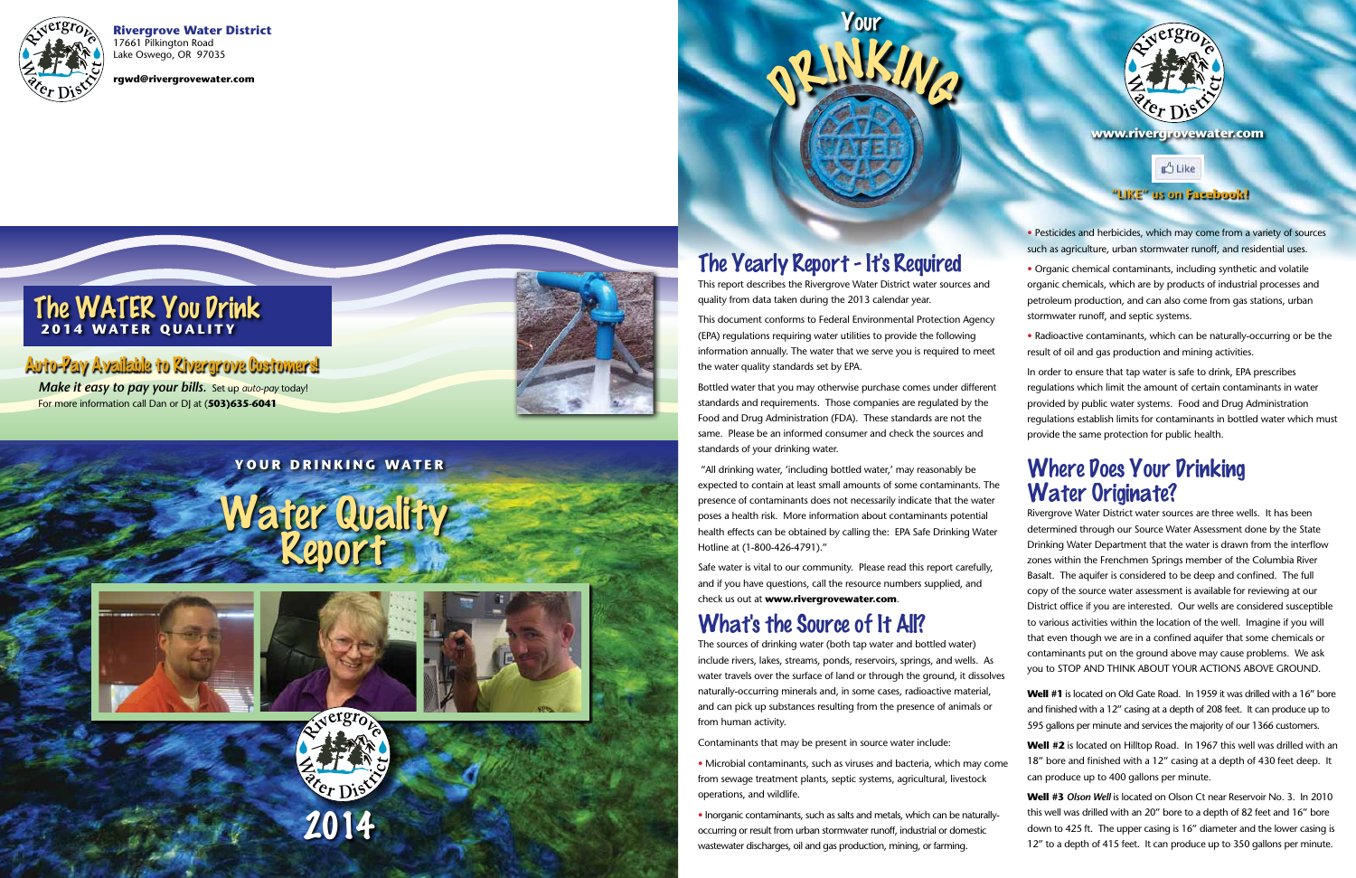**Rivergrove Water District** 17661 Pilkington Road Lake Oswego, OR 97035

**rgwd@rivergrovewater.com**

#### The WATER You Drink **2014 WATER QUALITY**

#### Auto-Pay Available to Rivergrove Customers!

## The Yearly Report - It's Required

This report describes the Rivergrove Water District water sources and quality from data taken during the 2013 calendar year.

This document conforms to Federal Environmental Protection Agency (EPA) regulations requiring water utilities to provide the following information annually. The water that we serve you is required to meet the water quality standards set by EPA.

Bottled water that you may otherwise purchase comes under different standards and requirements. Those companies are regulated by the Food and Drug Administration (FDA). These standards are not the same. Please be an informed consumer and check the sources and standards of your drinking water.

 "All drinking water, 'including bottled water,' may reasonably be expected to contain at least small amounts of some contaminants. The presence of contaminants does not necessarily indicate that the water poses a health risk. More information about contaminants potential health effects can be obtained by calling the: EPA Safe Drinking Water Hotline at (1-800-426-4791)."

Safe water is vital to our community. Please read this report carefully, and if you have questions, call the resource numbers supplied, and check us out at **www.rivergrovewater.com** .

## What's the Source of It All?

Rivergrove Water District water sources are three wells. It has been determined through our Source Water Assessment done by the State Drinking Water Department that the water is drawn from the interflow zones within the Frenchmen Springs member of the Columbia River Basalt. The aquifer is considered to be deep and confined. The full copy of the source water assessment is available for reviewing at our District office if you are interested. Our wells are considered susceptible to various activities within the location of the well. Imagine if you will that even though we are in a confined aquifer that some chemicals or contaminants put on the ground above may cause problems. We ask you to STOP AND THINK ABOUT YOUR ACTIONS ABOVE GROUND. **EXAMPLE 18 TO 18 TO 18 TO 18 TO 18 TO 18 TO 18 TO 18 TO 18 TO 18 TO 18 TO 18 TO 18 TO 18 TO 18 TO 18 TO 18 TO 18 TO 18 TO 18 TO 18 TO 18 TO 18 TO 18 TO 18 TO 18 TO 18 TO 18 TO 18 TO 18 TO 18 TO 18 TO 18 TO 18 TO 18 TO 18** 

The sources of drinking water (both tap water and bottled water) include rivers, lakes, streams, ponds, reservoirs, springs, and wells. As water travels over the surface of land or through the ground, it dissolves naturally-occurring minerals and, in some cases, radioactive material, and can pick up substances resulting from the presence of animals or from human activity.

Contaminants that may be present in source water include:

• Microbial contaminants, such as viruses and bacteria, which may come from sewage treatment plants, septic systems, agricultural, livestock operations, and wildlife.

• Inorganic contaminants, such as salts and metals, which can be naturallyoccurring or result from urban stormwater runoff, industrial or domestic wastewater discharges, oil and gas production, mining, or farming.





• Pesticides and herbicides, which may come from a variety of sources such as agriculture, urban stormwater runoff, and residential uses.

• Organic chemical contaminants, including synthetic and volatile organic chemicals, which are by products of industrial processes and petroleum production, and can also come from gas stations, urban stormwater runoff, and septic systems.

• Radioactive contaminants, which can be naturally-occurring or be the result of oil and gas production and mining activities.

In order to ensure that tap water is safe to drink, EPA prescribes regulations which limit the amount of certain contaminants in water provided by public water systems. Food and Drug Administration regulations establish limits for contaminants in bottled water which must provide the same protection for public health.

#### Where Does Your Drinking Water Originate?

**Well #1** is located on Old Gate Road. In 1959 it was drilled with a 16" bore and finished with a 12" casing at a depth of 208 feet. It can produce up to 595 gallons per minute and services the majority of our 1366 customers.

**Well #2** is located on Hilltop Road. In 1967 this well was drilled with an 18" bore and finished with a 12" casing at a depth of 430 feet deep. It can produce up to 400 gallons per minute.

**Well #3** *Olson Well* is located on Olson Ct near Reservoir No. 3. In 2010 this well was drilled with an 20" bore to a depth of 82 feet and 16" bore down to 425 ft. The upper casing is 16" diameter and the lower casing is

#### **"LIKE" us on Facebook!**

**www.rivergrovewater.com**

#### **YOUR DRINKING WATER**

# Water Quality<br>Report





*Make it easy to pay your bills.* Set up *auto-pay* today! For more information call Dan or DJ at (**503)635-6041**

<sup>D</sup>RINKIN<sup>G</sup>

Your





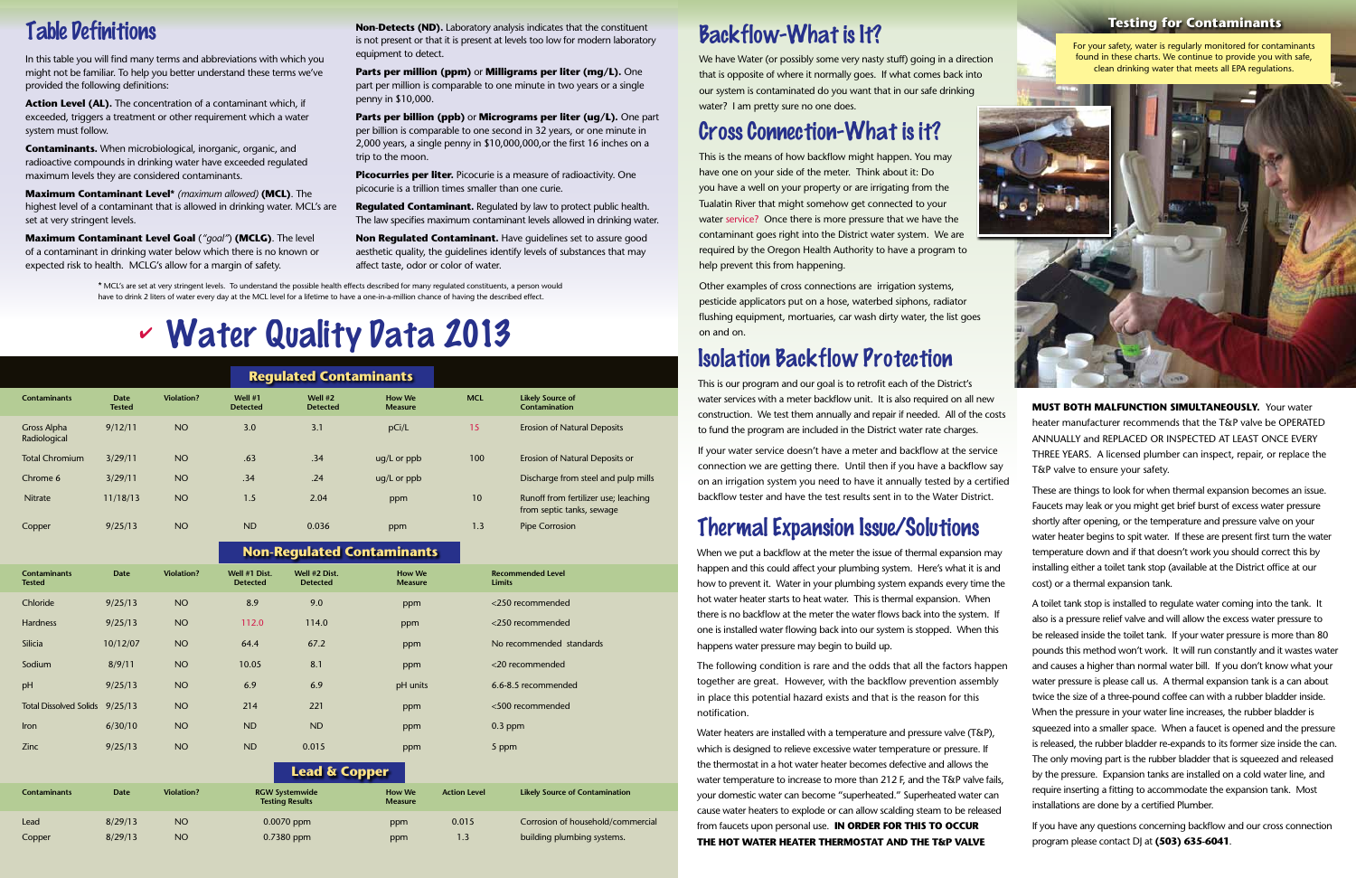## Table Definitions

In this table you will find many terms and abbreviations with which you might not be familiar. To help you better understand these terms we've provided the following definitions:

**Action Level (AL).** The concentration of a contaminant which, if exceeded, triggers a treatment or other requirement which a water system must follow.

**Contaminants.** When microbiological, inorganic, organic, and radioactive compounds in drinking water have exceeded regulated maximum levels they are considered contaminants.

**Maximum Contaminant Level\*** *(maximum allowed)* **(MCL)**. The highest level of a contaminant that is allowed in drinking water. MCL's are set at very stringent levels.

**Picocurries per liter.** Picocurie is a measure of radioactivity. One picocurie is a trillion times smaller than one curie.

**Maximum Contaminant Level Goal** (*"goal"*) **(MCLG)**. The level of a contaminant in drinking water below which there is no known or expected risk to health. MCLG's allow for a margin of safety.

**Non-Detects (ND).** Laboratory analysis indicates that the constituent is not present or that it is present at levels too low for modern laboratory equipment to detect.

**Parts per million (ppm)** or **Milligrams per liter (mg/L).** One part per million is comparable to one minute in two years or a single penny in \$10,000.

**Parts per billion (ppb)** or **Micrograms per liter (ug/L).** One part per billion is comparable to one second in 32 years, or one minute in 2,000 years, a single penny in \$10,000,000,or the first 16 inches on a trip to the moon.

**Regulated Contaminant.** Regulated by law to protect public health. The law specifies maximum contaminant levels allowed in drinking water.

**Non Regulated Contaminant.** Have guidelines set to assure good aesthetic quality, the guidelines identify levels of substances that may affect taste, odor or color of water.

## Backflow-What is It?

We have Water (or possibly some very nasty stuff) going in a direction that is opposite of where it normally goes. If what comes back into our system is contaminated do you want that in our safe drinking water? I am pretty sure no one does.

## Cross Connection-What is it?

This is the means of how backflow might happen. You may have one on your side of the meter. Think about it: Do you have a well on your property or are irrigating from the Tualatin River that might somehow get connected to your water service? Once there is more pressure that we have the contaminant goes right into the District water system. We are required by the Oregon Health Authority to have a program to help prevent this from happening.

|                             |                |                   |                              | <b>Regulated Contaminants</b> |                                 |            |                                                                   |
|-----------------------------|----------------|-------------------|------------------------------|-------------------------------|---------------------------------|------------|-------------------------------------------------------------------|
| <b>Contaminants</b>         | Date<br>Tested | <b>Violation?</b> | Well $#1$<br><b>Detected</b> | Well $#2$<br><b>Detected</b>  | <b>How We</b><br><b>Measure</b> | <b>MCL</b> | <b>Likely Source of</b><br><b>Contamination</b>                   |
| Gross Alpha<br>Radiological | 9/12/11        | <b>NO</b>         | 3.0                          | 3.1                           | pCi/L                           | 15         | <b>Erosion of Natural Deposits</b>                                |
| <b>Total Chromium</b>       | 3/29/11        | NO <sub>1</sub>   | .63                          | .34                           | $uq/L$ or $ppb$                 | 100        | Erosion of Natural Deposits or                                    |
| Chrome 6                    | 3/29/11        | NO <sub>1</sub>   | .34                          | .24                           | $uq/L$ or $ppb$                 |            | Discharge from steel and pulp mills                               |
| <b>Nitrate</b>              | 11/18/13       | NO <sub>1</sub>   | 1.5                          | 2.04                          | ppm                             | 10         | Runoff from fertilizer use; leaching<br>from septic tanks, sewage |
| Copper                      | 9/25/13        | NO <sub>1</sub>   | <b>ND</b>                    | 0.036                         | ppm                             | 1.3        | Pipe Corrosion                                                    |

Other examples of cross connections are irrigation systems, pesticide applicators put on a hose, waterbed siphons, radiator flushing equipment, mortuaries, car wash dirty water, the list goes on and on.

> **MUST BOTH MALFUNCTION SIMULTANEOUSLY.** Your water heater manufacturer recommends that the T&P valve be OPERATED ANNUALLY and REPLACED OR INSPECTED AT LEAST ONCE EVERY THREE YEARS. A licensed plumber can inspect, repair, or replace the T&P valve to ensure your safety.

|                                      |             |                   | -                                               |                                  |                                 |                     |                                           |
|--------------------------------------|-------------|-------------------|-------------------------------------------------|----------------------------------|---------------------------------|---------------------|-------------------------------------------|
| <b>Contaminants</b><br><b>Tested</b> | <b>Date</b> | <b>Violation?</b> | Well #1 Dist.<br><b>Detected</b>                | Well #2 Dist.<br><b>Detected</b> | <b>How We</b><br><b>Measure</b> |                     | <b>Recommended Level</b><br><b>Limits</b> |
| Chloride                             | 9/25/13     | <b>NO</b>         | 8.9                                             | 9.0                              | ppm                             |                     | <250 recommended                          |
| <b>Hardness</b>                      | 9/25/13     | <b>NO</b>         | 112.0                                           | 114.0                            | ppm                             |                     | <250 recommended                          |
| Silicia                              | 10/12/07    | <b>NO</b>         | 64.4                                            | 67.2                             | ppm                             |                     | No recommended standards                  |
| Sodium                               | 8/9/11      | <b>NO</b>         | 10.05                                           | 8.1                              | ppm                             |                     | <20 recommended                           |
| pH                                   | 9/25/13     | <b>NO</b>         | 6.9                                             | 6.9                              | pH units                        |                     | 6.6-8.5 recommended                       |
| Total Dissolved Solids 9/25/13       |             | <b>NO</b>         | 214                                             | 221                              | ppm                             |                     | <500 recommended                          |
| Iron                                 | 6/30/10     | <b>NO</b>         | <b>ND</b>                                       | <b>ND</b>                        | ppm                             |                     | $0.3$ ppm                                 |
| Zinc                                 | 9/25/13     | <b>NO</b>         | <b>ND</b>                                       | 0.015                            | ppm                             |                     | 5 ppm                                     |
|                                      |             |                   |                                                 | <b>Lead &amp; Copper</b>         |                                 |                     |                                           |
| <b>Contaminants</b>                  | <b>Date</b> | <b>Violation?</b> | <b>RGW Systemwide</b><br><b>Testing Results</b> |                                  | <b>How We</b><br><b>Measure</b> | <b>Action Level</b> | <b>Likely Source of Contamination</b>     |
| Lead                                 | 8/29/13     | <b>NO</b>         | $0.0070$ ppm                                    |                                  | ppm                             | 0.015               | Corrosion of household/commercial         |
| Copper                               | 8/29/13     | <b>NO</b>         | 0.7380 ppm                                      |                                  | ppm                             | 1.3                 | building plumbing systems.                |

#### **Non-Regulated Contaminants**

#### **Testing for Contaminants**

For your safety, water is regularly monitored for contaminants found in these charts. We continue to provide you with safe, clean drinking water that meets all EPA regulations.



## Isolation Backflow Protection

This is our program and our goal is to retrofit each of the District's water services with a meter backflow unit. It is also required on all new construction. We test them annually and repair if needed. All of the costs to fund the program are included in the District water rate charges.

If your water service doesn't have a meter and backflow at the service connection we are getting there. Until then if you have a backflow say on an irrigation system you need to have it annually tested by a certified backflow tester and have the test results sent in to the Water District.

## Thermal Expansion Issue/Solutions

# Water Quality Data 2013 4

When we put a backflow at the meter the issue of thermal expansion may happen and this could affect your plumbing system. Here's what it is and how to prevent it. Water in your plumbing system expands every time the hot water heater starts to heat water. This is thermal expansion. When there is no backflow at the meter the water flows back into the system. If one is installed water flowing back into our system is stopped. When this happens water pressure may begin to build up.

Water heaters are installed with a temperature and pressure valve (T&P), which is designed to relieve excessive water temperature or pressure. If the thermostat in a hot water heater becomes defective and allows the cause water heaters to explode or can allow scalding steam to be released from faucets upon personal use. **IN ORDER FOR THIS TO OCCUR THE HOT WATER HEATER THERMOSTAT AND THE T&P VALVE** 

The following condition is rare and the odds that all the factors happen together are great. However, with the backflow prevention assembly in place this potential hazard exists and that is the reason for this notification. water temperature to increase to more than 212 F, and the T&P valve fails, your domestic water can become "superheated." Superheated water can A toilet tank stop is installed to regulate water coming into the tank. It also is a pressure relief valve and will allow the excess water pressure to be released inside the toilet tank. If your water pressure is more than 80 pounds this method won't work. It will run constantly and it wastes water and causes a higher than normal water bill. If you don't know what your water pressure is please call us. A thermal expansion tank is a can about twice the size of a three-pound coffee can with a rubber bladder inside. When the pressure in your water line increases, the rubber bladder is squeezed into a smaller space. When a faucet is opened and the pressure is released, the rubber bladder re-expands to its former size inside the can. The only moving part is the rubber bladder that is squeezed and released by the pressure. Expansion tanks are installed on a cold water line, and require inserting a fitting to accommodate the expansion tank. Most installations are done by a certified Plumber.

These are things to look for when thermal expansion becomes an issue. Faucets may leak or you might get brief burst of excess water pressure shortly after opening, or the temperature and pressure valve on your water heater begins to spit water. If these are present first turn the water temperature down and if that doesn't work you should correct this by installing either a toilet tank stop (available at the District office at our cost) or a thermal expansion tank.

If you have any questions concerning backflow and our cross connection program please contact DJ at **(503) 635-6041**.

\* MCL's are set at very stringent levels. To understand the possible health effects described for many regulated constituents, a person would have to drink 2 liters of water every day at the MCL level for a lifetime to have a one-in-a-million chance of having the described effect.